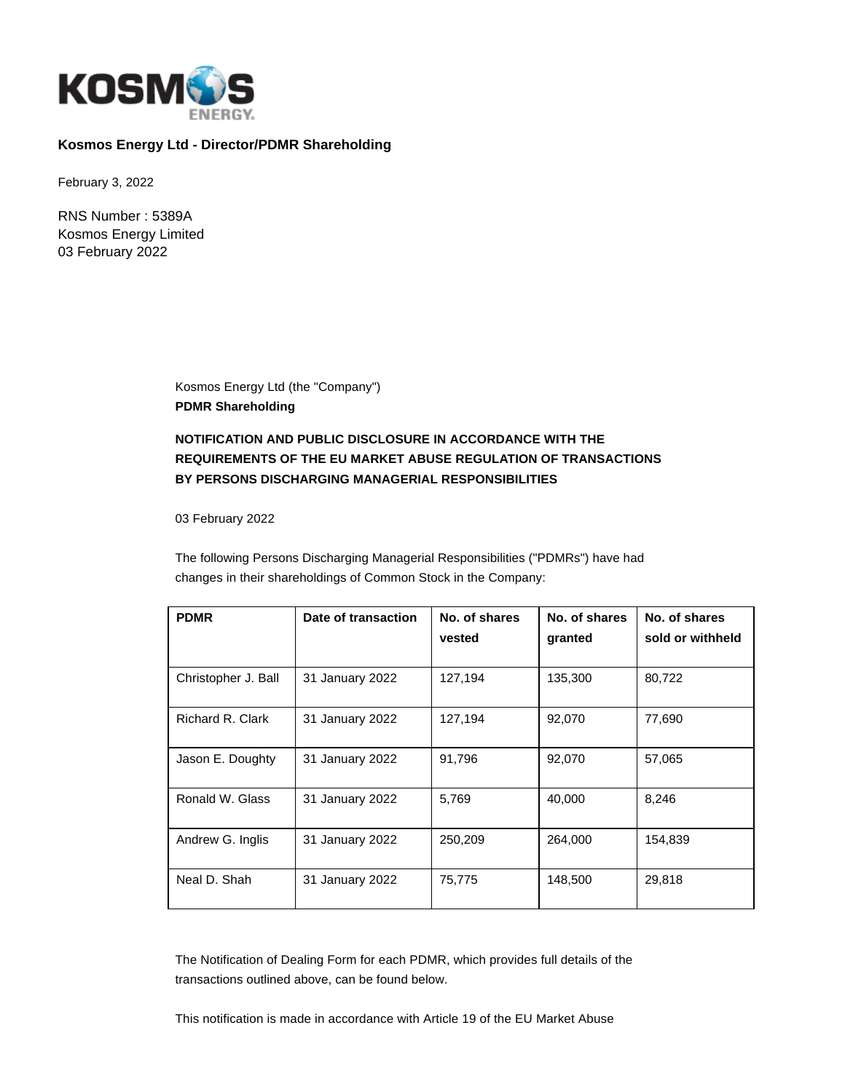

## **Kosmos Energy Ltd - Director/PDMR Shareholding**

February 3, 2022

RNS Number : 5389A Kosmos Energy Limited 03 February 2022

> Kosmos Energy Ltd (the "Company") **PDMR Shareholding**

# **NOTIFICATION AND PUBLIC DISCLOSURE IN ACCORDANCE WITH THE REQUIREMENTS OF THE EU MARKET ABUSE REGULATION OF TRANSACTIONS BY PERSONS DISCHARGING MANAGERIAL RESPONSIBILITIES**

03 February 2022

The following Persons Discharging Managerial Responsibilities ("PDMRs") have had changes in their shareholdings of Common Stock in the Company:

| <b>PDMR</b>             | Date of transaction | No. of shares<br>vested | No. of shares<br>granted | No. of shares<br>sold or withheld |
|-------------------------|---------------------|-------------------------|--------------------------|-----------------------------------|
| Christopher J. Ball     | 31 January 2022     | 127,194                 | 135,300                  | 80,722                            |
| <b>Richard R. Clark</b> | 31 January 2022     | 127,194                 | 92,070                   | 77,690                            |
| Jason E. Doughty        | 31 January 2022     | 91.796                  | 92,070                   | 57,065                            |
| Ronald W. Glass         | 31 January 2022     | 5,769                   | 40,000                   | 8,246                             |
| Andrew G. Inglis        | 31 January 2022     | 250,209                 | 264.000                  | 154.839                           |
| Neal D. Shah            | 31 January 2022     | 75,775                  | 148,500                  | 29,818                            |

The Notification of Dealing Form for each PDMR, which provides full details of the transactions outlined above, can be found below.

This notification is made in accordance with Article 19 of the EU Market Abuse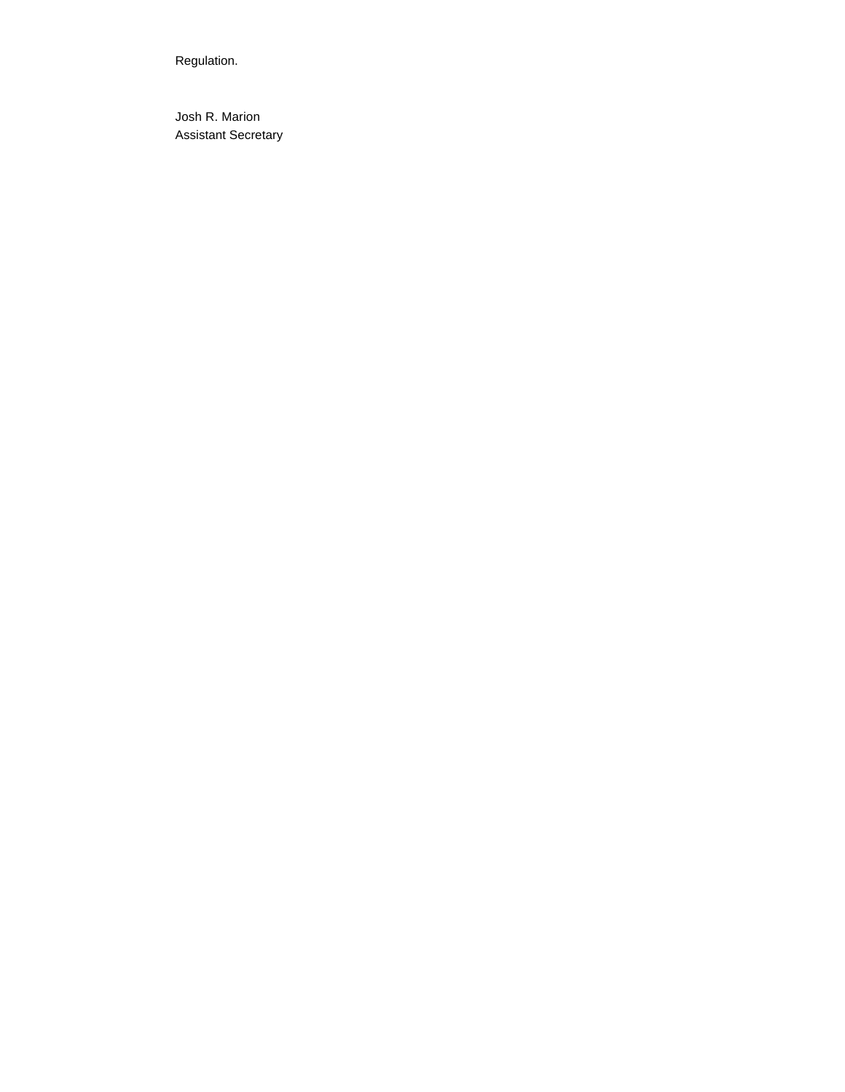Regulation.

Josh R. Marion Assistant Secretary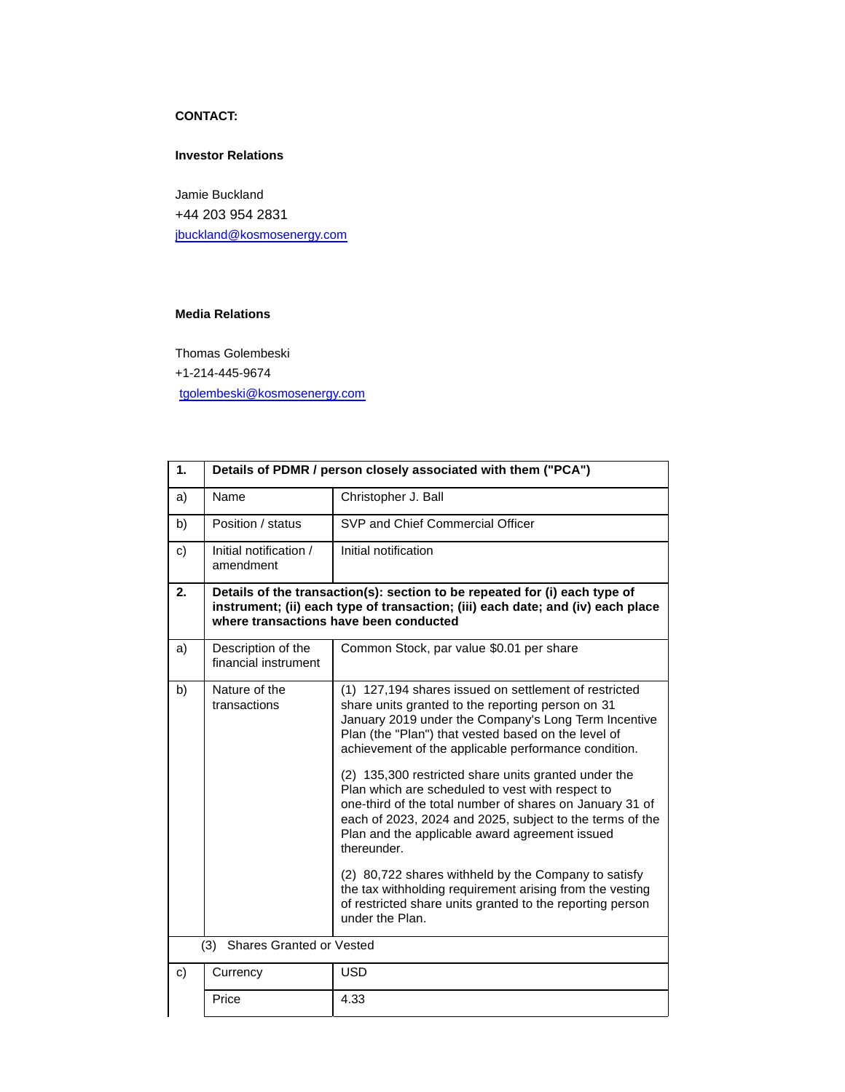## **CONTACT:**

### **Investor Relations**

Jamie Buckland +44 203 954 2831 [jbuckland@kosmosenergy.com](mailto:jbuckland@kosmosenergy.com)

### **Media Relations**

Thomas Golembeski

+1-214-445-9674

[tgolembeski@kosmosenergy.com](mailto:tgolembeski@kosmosenergy.com)

| 1. | Details of PDMR / person closely associated with them ("PCA") |                                                                                                                                                                                                                                                                                                   |
|----|---------------------------------------------------------------|---------------------------------------------------------------------------------------------------------------------------------------------------------------------------------------------------------------------------------------------------------------------------------------------------|
| a) | Name                                                          | Christopher J. Ball                                                                                                                                                                                                                                                                               |
| b) | Position / status                                             | SVP and Chief Commercial Officer                                                                                                                                                                                                                                                                  |
| c) | Initial notification /<br>amendment                           | Initial notification                                                                                                                                                                                                                                                                              |
| 2. |                                                               | Details of the transaction(s): section to be repeated for (i) each type of<br>instrument; (ii) each type of transaction; (iii) each date; and (iv) each place<br>where transactions have been conducted                                                                                           |
| a) | Description of the<br>financial instrument                    | Common Stock, par value \$0.01 per share                                                                                                                                                                                                                                                          |
| b) | Nature of the<br>transactions                                 | (1) 127,194 shares issued on settlement of restricted<br>share units granted to the reporting person on 31<br>January 2019 under the Company's Long Term Incentive<br>Plan (the "Plan") that vested based on the level of<br>achievement of the applicable performance condition.                 |
|    |                                                               | (2) 135,300 restricted share units granted under the<br>Plan which are scheduled to vest with respect to<br>one-third of the total number of shares on January 31 of<br>each of 2023, 2024 and 2025, subject to the terms of the<br>Plan and the applicable award agreement issued<br>thereunder. |
|    |                                                               | (2) 80,722 shares withheld by the Company to satisfy<br>the tax withholding requirement arising from the vesting<br>of restricted share units granted to the reporting person<br>under the Plan.                                                                                                  |
|    | <b>Shares Granted or Vested</b><br>(3)                        |                                                                                                                                                                                                                                                                                                   |
| c) | Currency                                                      | <b>USD</b>                                                                                                                                                                                                                                                                                        |
|    | Price                                                         | 4.33                                                                                                                                                                                                                                                                                              |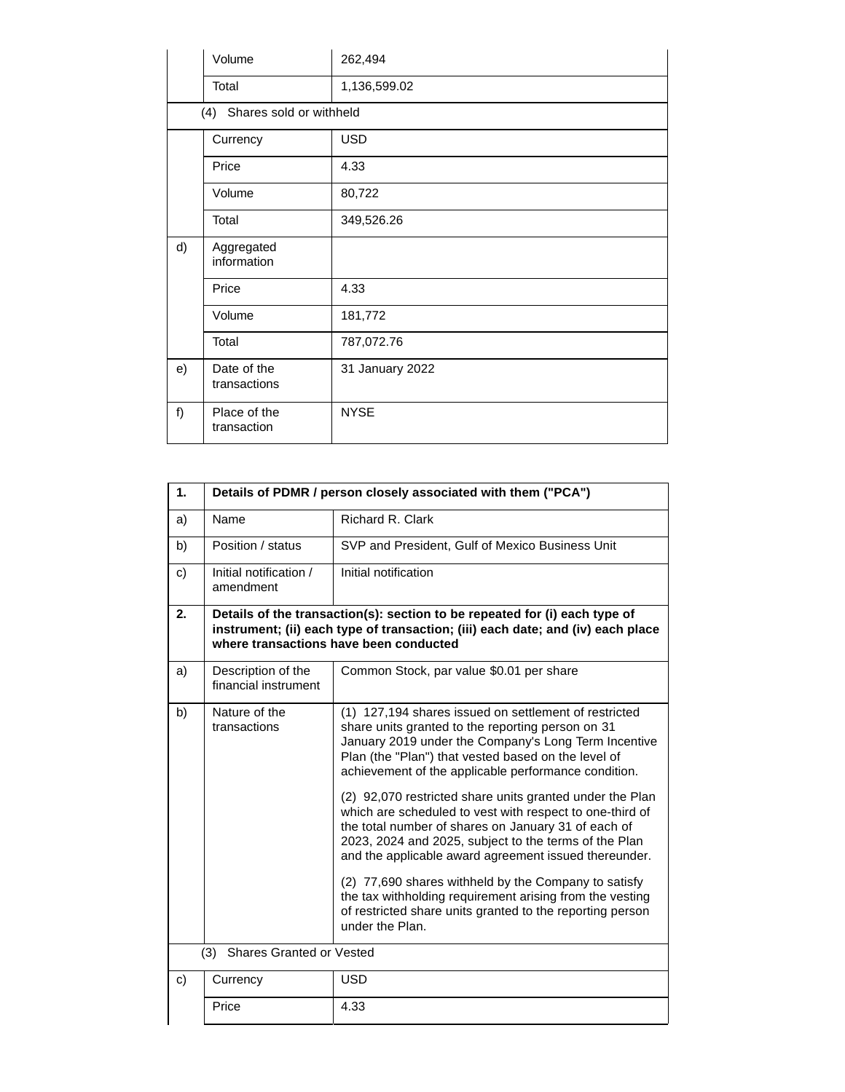|    | Volume                      | 262,494         |
|----|-----------------------------|-----------------|
|    | Total                       | 1,136,599.02    |
|    | (4) Shares sold or withheld |                 |
|    | Currency                    | <b>USD</b>      |
|    | Price                       | 4.33            |
|    | Volume                      | 80,722          |
|    | Total                       | 349,526.26      |
| d) | Aggregated<br>information   |                 |
|    | Price                       | 4.33            |
|    | Volume                      | 181,772         |
|    | Total                       | 787,072.76      |
| e) | Date of the<br>transactions | 31 January 2022 |
| f) | Place of the<br>transaction | <b>NYSE</b>     |

| 1. |                                            | Details of PDMR / person closely associated with them ("PCA")                                                                                                                                                                                                                                                                                                                                                                                                                                                                                                                                                                                                                                                                                                                          |
|----|--------------------------------------------|----------------------------------------------------------------------------------------------------------------------------------------------------------------------------------------------------------------------------------------------------------------------------------------------------------------------------------------------------------------------------------------------------------------------------------------------------------------------------------------------------------------------------------------------------------------------------------------------------------------------------------------------------------------------------------------------------------------------------------------------------------------------------------------|
| a) | Name                                       | <b>Richard R. Clark</b>                                                                                                                                                                                                                                                                                                                                                                                                                                                                                                                                                                                                                                                                                                                                                                |
| b) | Position / status                          | SVP and President, Gulf of Mexico Business Unit                                                                                                                                                                                                                                                                                                                                                                                                                                                                                                                                                                                                                                                                                                                                        |
| c) | Initial notification /<br>amendment        | Initial notification                                                                                                                                                                                                                                                                                                                                                                                                                                                                                                                                                                                                                                                                                                                                                                   |
| 2. |                                            | Details of the transaction(s): section to be repeated for (i) each type of<br>instrument; (ii) each type of transaction; (iii) each date; and (iv) each place<br>where transactions have been conducted                                                                                                                                                                                                                                                                                                                                                                                                                                                                                                                                                                                |
| a) | Description of the<br>financial instrument | Common Stock, par value \$0.01 per share                                                                                                                                                                                                                                                                                                                                                                                                                                                                                                                                                                                                                                                                                                                                               |
| b) | Nature of the<br>transactions              | (1) 127,194 shares issued on settlement of restricted<br>share units granted to the reporting person on 31<br>January 2019 under the Company's Long Term Incentive<br>Plan (the "Plan") that vested based on the level of<br>achievement of the applicable performance condition.<br>(2) 92,070 restricted share units granted under the Plan<br>which are scheduled to vest with respect to one-third of<br>the total number of shares on January 31 of each of<br>2023, 2024 and 2025, subject to the terms of the Plan<br>and the applicable award agreement issued thereunder.<br>(2) 77,690 shares withheld by the Company to satisfy<br>the tax withholding requirement arising from the vesting<br>of restricted share units granted to the reporting person<br>under the Plan. |
|    | <b>Shares Granted or Vested</b><br>(3)     |                                                                                                                                                                                                                                                                                                                                                                                                                                                                                                                                                                                                                                                                                                                                                                                        |
| c) | Currency                                   | <b>USD</b>                                                                                                                                                                                                                                                                                                                                                                                                                                                                                                                                                                                                                                                                                                                                                                             |
|    | Price                                      | 4.33                                                                                                                                                                                                                                                                                                                                                                                                                                                                                                                                                                                                                                                                                                                                                                                   |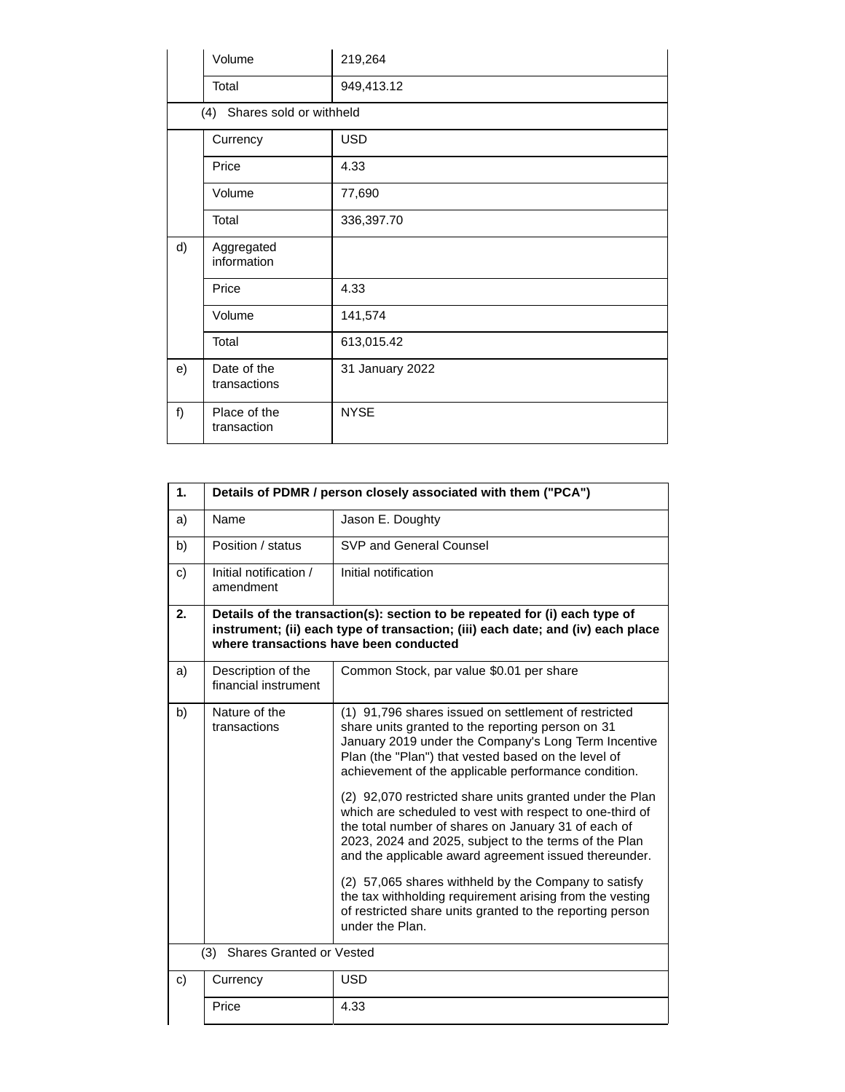|    | Volume                      | 219,264         |
|----|-----------------------------|-----------------|
|    | Total                       | 949,413.12      |
|    | (4) Shares sold or withheld |                 |
|    | Currency                    | <b>USD</b>      |
|    | Price                       | 4.33            |
|    | Volume                      | 77,690          |
|    | Total                       | 336,397.70      |
| d) | Aggregated<br>information   |                 |
|    | Price                       | 4.33            |
|    | Volume                      | 141,574         |
|    | Total                       | 613,015.42      |
| e) | Date of the<br>transactions | 31 January 2022 |
| f) | Place of the<br>transaction | <b>NYSE</b>     |

| 1. |                                            | Details of PDMR / person closely associated with them ("PCA")                                                                                                                                                                                                                                                                                                                                                                                                                                                                                                                                                                                                                                                                                                                         |
|----|--------------------------------------------|---------------------------------------------------------------------------------------------------------------------------------------------------------------------------------------------------------------------------------------------------------------------------------------------------------------------------------------------------------------------------------------------------------------------------------------------------------------------------------------------------------------------------------------------------------------------------------------------------------------------------------------------------------------------------------------------------------------------------------------------------------------------------------------|
| a) | Name                                       | Jason E. Doughty                                                                                                                                                                                                                                                                                                                                                                                                                                                                                                                                                                                                                                                                                                                                                                      |
| b) | Position / status                          | SVP and General Counsel                                                                                                                                                                                                                                                                                                                                                                                                                                                                                                                                                                                                                                                                                                                                                               |
| c) | Initial notification /<br>amendment        | Initial notification                                                                                                                                                                                                                                                                                                                                                                                                                                                                                                                                                                                                                                                                                                                                                                  |
| 2. |                                            | Details of the transaction(s): section to be repeated for (i) each type of<br>instrument; (ii) each type of transaction; (iii) each date; and (iv) each place<br>where transactions have been conducted                                                                                                                                                                                                                                                                                                                                                                                                                                                                                                                                                                               |
| a) | Description of the<br>financial instrument | Common Stock, par value \$0.01 per share                                                                                                                                                                                                                                                                                                                                                                                                                                                                                                                                                                                                                                                                                                                                              |
| b) | Nature of the<br>transactions              | (1) 91,796 shares issued on settlement of restricted<br>share units granted to the reporting person on 31<br>January 2019 under the Company's Long Term Incentive<br>Plan (the "Plan") that vested based on the level of<br>achievement of the applicable performance condition.<br>(2) 92,070 restricted share units granted under the Plan<br>which are scheduled to vest with respect to one-third of<br>the total number of shares on January 31 of each of<br>2023, 2024 and 2025, subject to the terms of the Plan<br>and the applicable award agreement issued thereunder.<br>(2) 57,065 shares withheld by the Company to satisfy<br>the tax withholding requirement arising from the vesting<br>of restricted share units granted to the reporting person<br>under the Plan. |
|    | (3)<br><b>Shares Granted or Vested</b>     |                                                                                                                                                                                                                                                                                                                                                                                                                                                                                                                                                                                                                                                                                                                                                                                       |
| c) | Currency                                   | <b>USD</b>                                                                                                                                                                                                                                                                                                                                                                                                                                                                                                                                                                                                                                                                                                                                                                            |
|    | Price                                      | 4.33                                                                                                                                                                                                                                                                                                                                                                                                                                                                                                                                                                                                                                                                                                                                                                                  |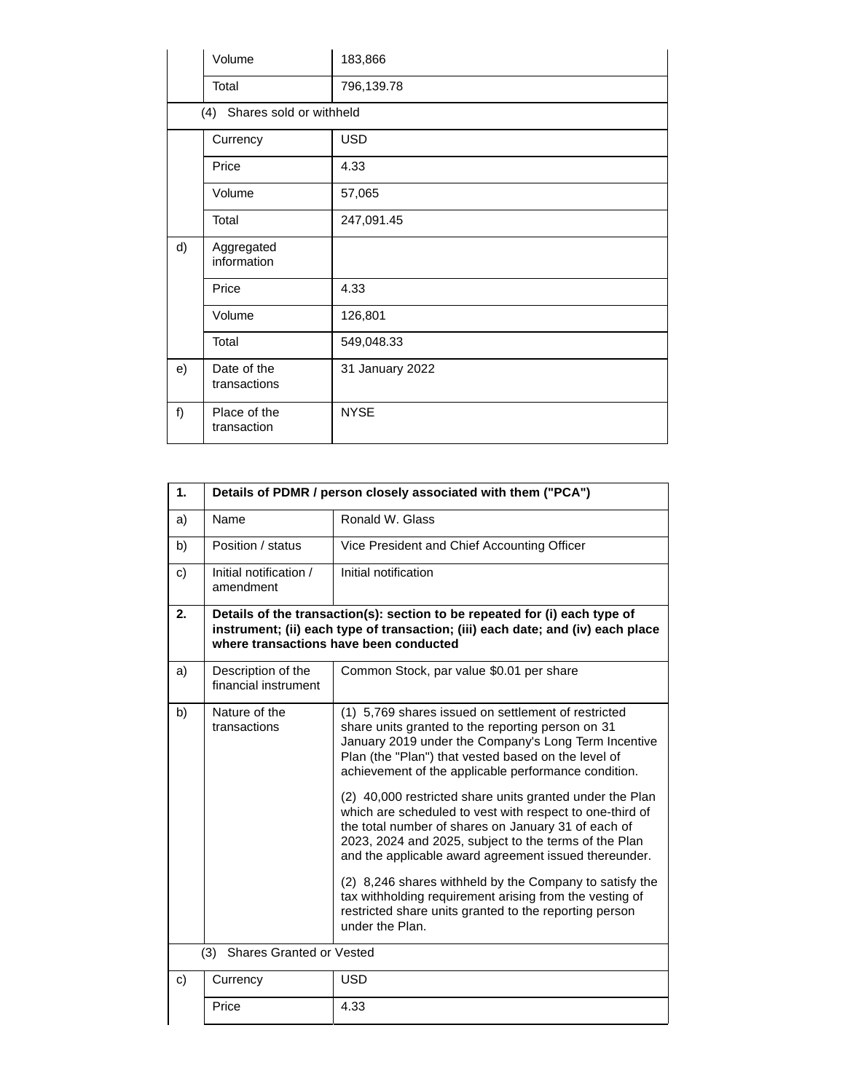|    | Volume                      | 183,866         |
|----|-----------------------------|-----------------|
|    | Total                       | 796,139.78      |
|    | (4) Shares sold or withheld |                 |
|    | Currency                    | <b>USD</b>      |
|    | Price                       | 4.33            |
|    | Volume                      | 57,065          |
|    | Total                       | 247,091.45      |
| d) | Aggregated<br>information   |                 |
|    | Price                       | 4.33            |
|    | Volume                      | 126,801         |
|    | Total                       | 549,048.33      |
| e) | Date of the<br>transactions | 31 January 2022 |
| f) | Place of the<br>transaction | <b>NYSE</b>     |

| 1. |                                            | Details of PDMR / person closely associated with them ("PCA")                                                                                                                                                                                                                                                                                                                                                                                                                                                                                                                                                                                                                                                                                                                       |
|----|--------------------------------------------|-------------------------------------------------------------------------------------------------------------------------------------------------------------------------------------------------------------------------------------------------------------------------------------------------------------------------------------------------------------------------------------------------------------------------------------------------------------------------------------------------------------------------------------------------------------------------------------------------------------------------------------------------------------------------------------------------------------------------------------------------------------------------------------|
| a) | Name                                       | Ronald W. Glass                                                                                                                                                                                                                                                                                                                                                                                                                                                                                                                                                                                                                                                                                                                                                                     |
| b) | Position / status                          | Vice President and Chief Accounting Officer                                                                                                                                                                                                                                                                                                                                                                                                                                                                                                                                                                                                                                                                                                                                         |
| c) | Initial notification /<br>amendment        | Initial notification                                                                                                                                                                                                                                                                                                                                                                                                                                                                                                                                                                                                                                                                                                                                                                |
| 2. |                                            | Details of the transaction(s): section to be repeated for (i) each type of<br>instrument; (ii) each type of transaction; (iii) each date; and (iv) each place<br>where transactions have been conducted                                                                                                                                                                                                                                                                                                                                                                                                                                                                                                                                                                             |
| a) | Description of the<br>financial instrument | Common Stock, par value \$0.01 per share                                                                                                                                                                                                                                                                                                                                                                                                                                                                                                                                                                                                                                                                                                                                            |
| b) | Nature of the<br>transactions              | (1) 5,769 shares issued on settlement of restricted<br>share units granted to the reporting person on 31<br>January 2019 under the Company's Long Term Incentive<br>Plan (the "Plan") that vested based on the level of<br>achievement of the applicable performance condition.<br>(2) 40,000 restricted share units granted under the Plan<br>which are scheduled to vest with respect to one-third of<br>the total number of shares on January 31 of each of<br>2023, 2024 and 2025, subject to the terms of the Plan<br>and the applicable award agreement issued thereunder.<br>(2) 8,246 shares withheld by the Company to satisfy the<br>tax withholding requirement arising from the vesting of<br>restricted share units granted to the reporting person<br>under the Plan. |
|    | <b>Shares Granted or Vested</b><br>(3)     |                                                                                                                                                                                                                                                                                                                                                                                                                                                                                                                                                                                                                                                                                                                                                                                     |
| c) | Currency                                   | <b>USD</b>                                                                                                                                                                                                                                                                                                                                                                                                                                                                                                                                                                                                                                                                                                                                                                          |
|    | Price                                      | 4.33                                                                                                                                                                                                                                                                                                                                                                                                                                                                                                                                                                                                                                                                                                                                                                                |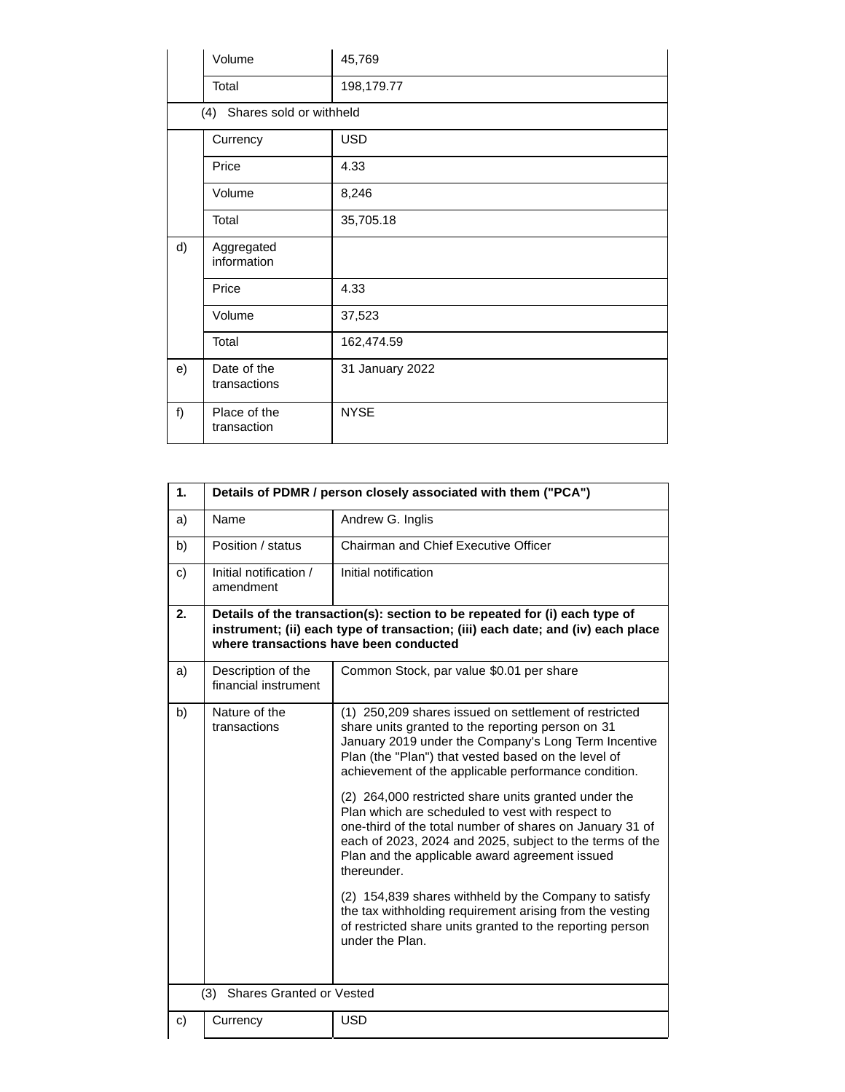|    | Volume                      | 45,769          |
|----|-----------------------------|-----------------|
|    | Total                       | 198,179.77      |
|    | (4) Shares sold or withheld |                 |
|    | Currency                    | <b>USD</b>      |
|    | Price                       | 4.33            |
|    | Volume                      | 8,246           |
|    | Total                       | 35,705.18       |
| d) | Aggregated<br>information   |                 |
|    | Price                       | 4.33            |
|    | Volume                      | 37,523          |
|    | Total                       | 162,474.59      |
| e) | Date of the<br>transactions | 31 January 2022 |
| f) | Place of the<br>transaction | <b>NYSE</b>     |

| 1. |                                            | Details of PDMR / person closely associated with them ("PCA")                                                                                                                                                                                                                                     |
|----|--------------------------------------------|---------------------------------------------------------------------------------------------------------------------------------------------------------------------------------------------------------------------------------------------------------------------------------------------------|
| a) | Name                                       | Andrew G. Inglis                                                                                                                                                                                                                                                                                  |
| b) | Position / status                          | Chairman and Chief Executive Officer                                                                                                                                                                                                                                                              |
| C) | Initial notification /<br>amendment        | Initial notification                                                                                                                                                                                                                                                                              |
| 2. |                                            | Details of the transaction(s): section to be repeated for (i) each type of<br>instrument; (ii) each type of transaction; (iii) each date; and (iv) each place<br>where transactions have been conducted                                                                                           |
| a) | Description of the<br>financial instrument | Common Stock, par value \$0.01 per share                                                                                                                                                                                                                                                          |
| b) | Nature of the<br>transactions              | (1) 250,209 shares issued on settlement of restricted<br>share units granted to the reporting person on 31<br>January 2019 under the Company's Long Term Incentive<br>Plan (the "Plan") that vested based on the level of<br>achievement of the applicable performance condition.                 |
|    |                                            | (2) 264,000 restricted share units granted under the<br>Plan which are scheduled to vest with respect to<br>one-third of the total number of shares on January 31 of<br>each of 2023, 2024 and 2025, subject to the terms of the<br>Plan and the applicable award agreement issued<br>thereunder. |
|    |                                            | (2) 154,839 shares withheld by the Company to satisfy<br>the tax withholding requirement arising from the vesting<br>of restricted share units granted to the reporting person<br>under the Plan.                                                                                                 |
|    | <b>Shares Granted or Vested</b><br>(3)     |                                                                                                                                                                                                                                                                                                   |
| C) | Currency                                   | <b>USD</b>                                                                                                                                                                                                                                                                                        |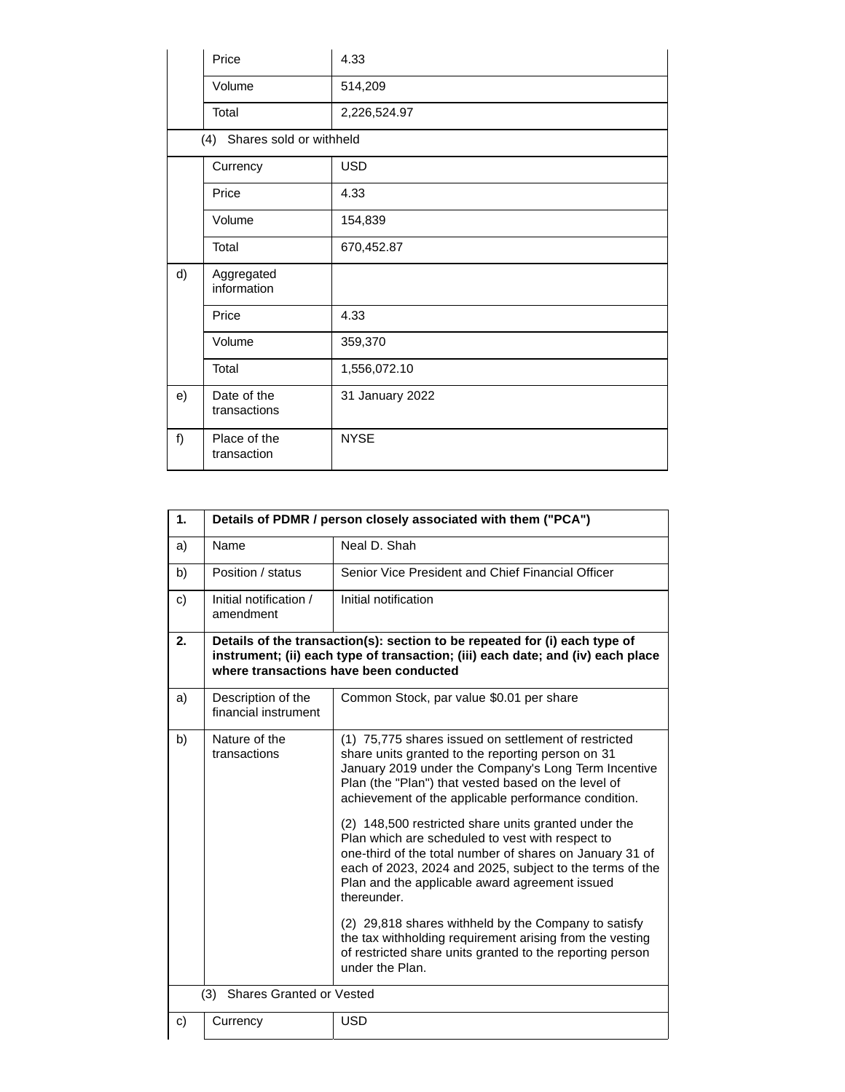|    | Price                       | 4.33            |
|----|-----------------------------|-----------------|
|    | Volume                      | 514,209         |
|    | Total                       | 2,226,524.97    |
|    | (4) Shares sold or withheld |                 |
|    | Currency                    | <b>USD</b>      |
|    | Price                       | 4.33            |
|    | Volume                      | 154,839         |
|    | Total                       | 670,452.87      |
| d) | Aggregated<br>information   |                 |
|    | Price                       | 4.33            |
|    | Volume                      | 359,370         |
|    | Total                       | 1,556,072.10    |
| e) | Date of the<br>transactions | 31 January 2022 |
| f) | Place of the<br>transaction | <b>NYSE</b>     |

| 1. | Details of PDMR / person closely associated with them ("PCA") |                                                                                                                                                                                                                                                                                                   |
|----|---------------------------------------------------------------|---------------------------------------------------------------------------------------------------------------------------------------------------------------------------------------------------------------------------------------------------------------------------------------------------|
| a) | Name                                                          | Neal D. Shah                                                                                                                                                                                                                                                                                      |
| b) | Position / status                                             | Senior Vice President and Chief Financial Officer                                                                                                                                                                                                                                                 |
| C) | Initial notification /<br>amendment                           | Initial notification                                                                                                                                                                                                                                                                              |
| 2. |                                                               | Details of the transaction(s): section to be repeated for (i) each type of<br>instrument; (ii) each type of transaction; (iii) each date; and (iv) each place<br>where transactions have been conducted                                                                                           |
| a) | Description of the<br>financial instrument                    | Common Stock, par value \$0.01 per share                                                                                                                                                                                                                                                          |
| b) | Nature of the<br>transactions                                 | (1) 75,775 shares issued on settlement of restricted<br>share units granted to the reporting person on 31<br>January 2019 under the Company's Long Term Incentive<br>Plan (the "Plan") that vested based on the level of<br>achievement of the applicable performance condition.                  |
|    |                                                               | (2) 148,500 restricted share units granted under the<br>Plan which are scheduled to vest with respect to<br>one-third of the total number of shares on January 31 of<br>each of 2023, 2024 and 2025, subject to the terms of the<br>Plan and the applicable award agreement issued<br>thereunder. |
|    |                                                               | (2) 29,818 shares withheld by the Company to satisfy<br>the tax withholding requirement arising from the vesting<br>of restricted share units granted to the reporting person<br>under the Plan.                                                                                                  |
|    | <b>Shares Granted or Vested</b><br>(3)                        |                                                                                                                                                                                                                                                                                                   |
| C) | Currency                                                      | <b>USD</b>                                                                                                                                                                                                                                                                                        |
|    |                                                               |                                                                                                                                                                                                                                                                                                   |